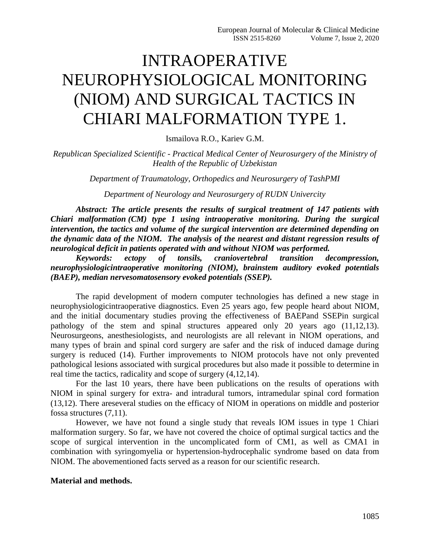# INTRAOPERATIVE NEUROPHYSIOLOGICAL MONITORING (NIOM) AND SURGICAL TACTICS IN CHIARI MALFORMATION TYPE 1.

Ismailova R.O., Kariev G.M.

*Republican Specialized Scientific - Practical Medical Center of Neurosurgery of the Ministry of Health of the Republic of Uzbekistan*

*Department of Traumatology, Orthopedics and Neurosurgery of TashPMI*

*Department of Neurology and Neurosurgery of RUDN Univercity*

*Abstract: The article presents the results of surgical treatment of 147 patients with Chiari malformation (CM) type 1 using intraoperative monitoring. During the surgical intervention, the tactics and volume of the surgical intervention are determined depending on the dynamic data of the NIOM. The analysis of the nearest and distant regression results of neurological deficit in patients operated with and without NIOM was performed.*

*Keywords: ectopy of tonsils, craniovertebral transition decompression, neurophysiologicintraoperative monitoring (NIOM), brainstem auditory evoked potentials (BAEP), median nervesomatosensory evoked potentials (SSEP).*

The rapid development of modern computer technologies has defined a new stage in neurophysiologicintraoperative diagnostics. Even 25 years ago, few people heard about NIOM, and the initial documentary studies proving the effectiveness of BAEPand SSEPin surgical pathology of the stem and spinal structures appeared only 20 years ago (11,12,13). Neurosurgeons, anesthesiologists, and neurologists are all relevant in NIOM operations, and many types of brain and spinal cord surgery are safer and the risk of induced damage during surgery is reduced (14). Further improvements to NIOM protocols have not only prevented pathological lesions associated with surgical procedures but also made it possible to determine in real time the tactics, radicality and scope of surgery (4,12,14).

For the last 10 years, there have been publications on the results of operations with NIOM in spinal surgery for extra- and intradural tumors, intramedular spinal cord formation (13,12). There areseveral studies on the efficacy of NIOM in operations on middle and posterior fossa structures (7,11).

However, we have not found a single study that reveals IOM issues in type 1 Chiari malformation surgery. So far, we have not covered the choice of optimal surgical tactics and the scope of surgical intervention in the uncomplicated form of CM1, as well as CMA1 in combination with syringomyelia or hypertension-hydrocephalic syndrome based on data from NIOM. The abovementioned facts served as a reason for our scientific research.

#### **Material and methods.**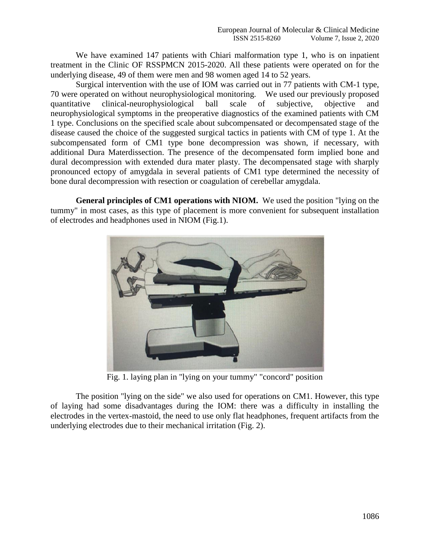We have examined 147 patients with Chiari malformation type 1, who is on inpatient treatment in the Clinic OF RSSPMCN 2015-2020. All these patients were operated on for the underlying disease, 49 of them were men and 98 women aged 14 to 52 years.

Surgical intervention with the use of IOM was carried out in 77 patients with CM-1 type, 70 were operated on without neurophysiological monitoring. We used our previously proposed quantitative clinical-neurophysiological ball scale of subjective, objective and neurophysiological symptoms in the preoperative diagnostics of the examined patients with CM 1 type. Conclusions on the specified scale about subcompensated or decompensated stage of the disease caused the choice of the suggested surgical tactics in patients with CM of type 1. At the subcompensated form of CM1 type bone decompression was shown, if necessary, with additional Dura Materdissection. The presence of the decompensated form implied bone and dural decompression with extended dura mater plasty. The decompensated stage with sharply pronounced ectopy of amygdala in several patients of CM1 type determined the necessity of bone dural decompression with resection or coagulation of cerebellar amygdala.

**General principles of CM1 operations with NIOM.** We used the position "lying on the tummy" in most cases, as this type of placement is more convenient for subsequent installation of electrodes and headphones used in NIOM (Fig.1).



Fig. 1. laying plan in "lying on your tummy" "concord" position

The position "lying on the side" we also used for operations on CM1. However, this type of laying had some disadvantages during the IOM: there was a difficulty in installing the electrodes in the vertex-mastoid, the need to use only flat headphones, frequent artifacts from the underlying electrodes due to their mechanical irritation (Fig. 2).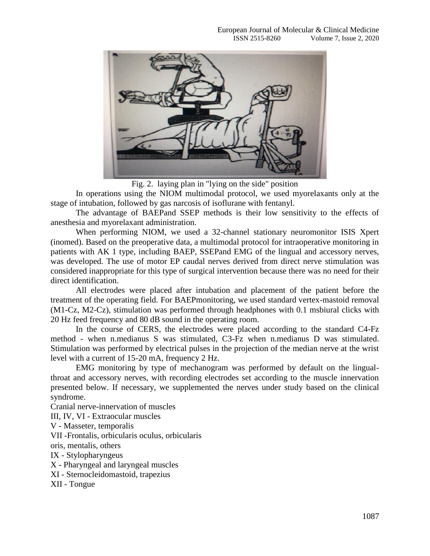

Fig. 2. laying plan in "lying on the side" position

In operations using the NIOM multimodal protocol, we used myorelaxants only at the stage of intubation, followed by gas narcosis of isoflurane with fentanyl.

The advantage of BAEPand SSEP methods is their low sensitivity to the effects of anesthesia and myorelaxant administration.

When performing NIOM, we used a 32-channel stationary neuromonitor ISIS Xpert (inomed). Based on the preoperative data, a multimodal protocol for intraoperative monitoring in patients with AK 1 type, including BAEP, SSEPand EMG of the lingual and accessory nerves, was developed. The use of motor EP caudal nerves derived from direct nerve stimulation was considered inappropriate for this type of surgical intervention because there was no need for their direct identification.

All electrodes were placed after intubation and placement of the patient before the treatment of the operating field. For BAEPmonitoring, we used standard vertex-mastoid removal (M1-Cz, M2-Cz), stimulation was performed through headphones with 0.1 msbiural clicks with 20 Hz feed frequency and 80 dB sound in the operating room.

In the course of CERS, the electrodes were placed according to the standard C4-Fz method - when n.medianus S was stimulated, C3-Fz when n.medianus D was stimulated. Stimulation was performed by electrical pulses in the projection of the median nerve at the wrist level with a current of 15-20 mA, frequency 2 Hz.

EMG monitoring by type of mechanogram was performed by default on the lingualthroat and accessory nerves, with recording electrodes set according to the muscle innervation presented below. If necessary, we supplemented the nerves under study based on the clinical syndrome.

Cranial nerve-innervation of muscles

III, IV, VI - Extraocular muscles

V - Masseter, temporalis

VII -Frontalis, orbicularis oculus, orbicularis

oris, mentalis, others

IX - Stylopharyngeus

X - Pharyngeal and laryngeal muscles

XI - Sternocleidomastoid, trapezius

XII - Tongue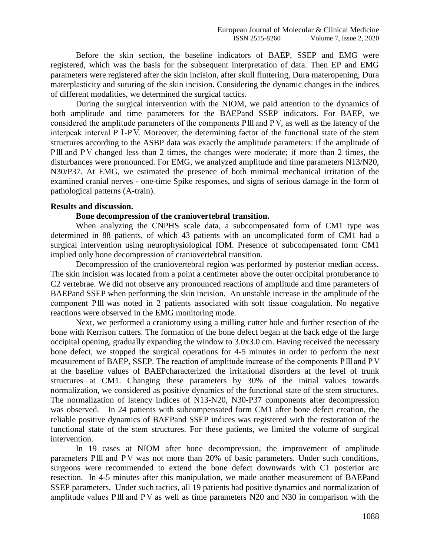Before the skin section, the baseline indicators of BAEP, SSEP and EMG were registered, which was the basis for the subsequent interpretation of data. Then EP and EMG parameters were registered after the skin incision, after skull fluttering, Dura materopening, Dura materplasticity and suturing of the skin incision. Considering the dynamic changes in the indices of different modalities, we determined the surgical tactics.

During the surgical intervention with the NIOM, we paid attention to the dynamics of both amplitude and time parameters for the BAEPand SSEP indicators. For BAEP, we considered the amplitude parameters of the components РⅢ and РⅤ, as well as the latency of the interpeak interval РⅠ-РⅤ. Moreover, the determining factor of the functional state of the stem structures according to the ASBP data was exactly the amplitude parameters: if the amplitude of РⅢ and РⅤ changed less than 2 times, the changes were moderate; if more than 2 times, the disturbances were pronounced. For EMG, we analyzed amplitude and time parameters N13/N20, N30/P37. At EMG, we estimated the presence of both minimal mechanical irritation of the examined cranial nerves - one-time Spike responses, and signs of serious damage in the form of pathological patterns (A-train).

#### **Results and discussion.**

### **Bone decompression of the craniovertebral transition.**

When analyzing the CNPHS scale data, a subcompensated form of CM1 type was determined in 88 patients, of which 43 patients with an uncomplicated form of CM1 had a surgical intervention using neurophysiological IOM. Presence of subcompensated form CM1 implied only bone decompression of craniovertebral transition.

Decompression of the craniovertebral region was performed by posterior median access. The skin incision was located from a point a centimeter above the outer occipital protuberance to C2 vertebrae. We did not observe any pronounced reactions of amplitude and time parameters of BAEPand SSEP when performing the skin incision. An unstable increase in the amplitude of the component РⅢ was noted in 2 patients associated with soft tissue coagulation. No negative reactions were observed in the EMG monitoring mode.

Next, we performed a craniotomy using a milling cutter hole and further resection of the bone with Kerrison cutters. The formation of the bone defect began at the back edge of the large occipital opening, gradually expanding the window to 3.0x3.0 cm. Having received the necessary bone defect, we stopped the surgical operations for 4-5 minutes in order to perform the next measurement of BAEP, SSEP. The reaction of amplitude increase of the components РⅢ and РⅤ at the baseline values of BAEPcharacterized the irritational disorders at the level of trunk structures at CM1. Changing these parameters by 30% of the initial values towards normalization, we considered as positive dynamics of the functional state of the stem structures. The normalization of latency indices of N13-N20, N30-P37 components after decompression was observed. In 24 patients with subcompensated form CM1 after bone defect creation, the reliable positive dynamics of BAEPand SSEP indices was registered with the restoration of the functional state of the stem structures. For these patients, we limited the volume of surgical intervention.

In 19 cases at NIOM after bone decompression, the improvement of amplitude parameters РШ and PV was not more than 20% of basic parameters. Under such conditions, surgeons were recommended to extend the bone defect downwards with C1 posterior arc resection. In 4-5 minutes after this manipulation, we made another measurement of BAEPand SSEP parameters. Under such tactics, all 19 patients had positive dynamics and normalization of amplitude values РⅢ and РⅤ as well as time parameters N20 and N30 in comparison with the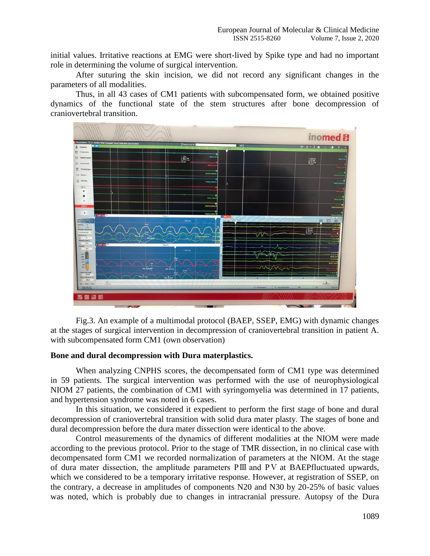initial values. Irritative reactions at EMG were short-lived by Spike type and had no important role in determining the volume of surgical intervention.

After suturing the skin incision, we did not record any significant changes in the parameters of all modalities.

Thus, in all 43 cases of CM1 patients with subcompensated form, we obtained positive dynamics of the functional state of the stem structures after bone decompression of craniovertebral transition.



Fig.3. An example of a multimodal protocol (BAEP, SSEP, EMG) with dynamic changes at the stages of surgical intervention in decompression of craniovertebral transition in patient A. with subcompensated form CM1 (own observation)

#### **Bone and dural decompression with Dura materplastics.**

When analyzing CNPHS scores, the decompensated form of CM1 type was determined in 59 patients. The surgical intervention was performed with the use of neurophysiological NIOM 27 patients, the combination of CM1 with syringomyelia was determined in 17 patients, and hypertension syndrome was noted in 6 cases.

In this situation, we considered it expedient to perform the first stage of bone and dural decompression of craniovertebral transition with solid dura mater plasty. The stages of bone and dural decompression before the dura mater dissection were identical to the above.

Control measurements of the dynamics of different modalities at the NIOM were made according to the previous protocol. Prior to the stage of TMR dissection, in no clinical case with decompensated form CM1 we recorded normalization of parameters at the NIOM. At the stage of dura mater dissection, the amplitude parameters РⅢ and РⅤ at BAEPfluctuated upwards, which we considered to be a temporary irritative response. However, at registration of SSEP, on the contrary, a decrease in amplitudes of components N20 and N30 by 20-25% of basic values was noted, which is probably due to changes in intracranial pressure. Autopsy of the Dura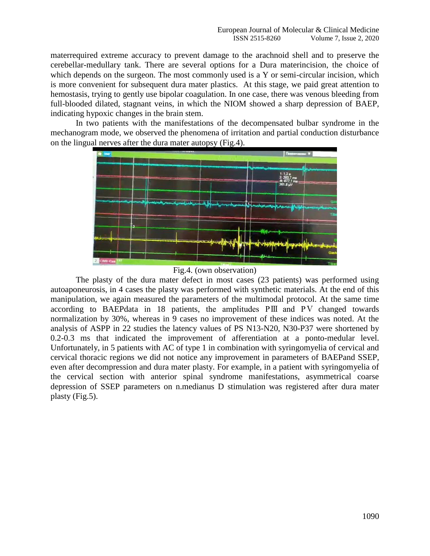materrequired extreme accuracy to prevent damage to the arachnoid shell and to preserve the cerebellar-medullary tank. There are several options for a Dura materincision, the choice of which depends on the surgeon. The most commonly used is a Y or semi-circular incision, which is more convenient for subsequent dura mater plastics. At this stage, we paid great attention to hemostasis, trying to gently use bipolar coagulation. In one case, there was venous bleeding from full-blooded dilated, stagnant veins, in which the NIOM showed a sharp depression of BAEP, indicating hypoxic changes in the brain stem.

In two patients with the manifestations of the decompensated bulbar syndrome in the mechanogram mode, we observed the phenomena of irritation and partial conduction disturbance on the lingual nerves after the dura mater autopsy (Fig.4).



Fig.4. (own observation)

The plasty of the dura mater defect in most cases (23 patients) was performed using autoaponeurosis, in 4 cases the plasty was performed with synthetic materials. At the end of this manipulation, we again measured the parameters of the multimodal protocol. At the same time according to BAEPdata in 18 patients, the amplitudes РⅢ and РⅤ changed towards normalization by 30%, whereas in 9 cases no improvement of these indices was noted. At the analysis of ASPP in 22 studies the latency values of PS N13-N20, N30-P37 were shortened by 0.2-0.3 ms that indicated the improvement of afferentiation at a ponto-medular level. Unfortunately, in 5 patients with AC of type 1 in combination with syringomyelia of cervical and cervical thoracic regions we did not notice any improvement in parameters of BAEPand SSEP, even after decompression and dura mater plasty. For example, in a patient with syringomyelia of the cervical section with anterior spinal syndrome manifestations, asymmetrical coarse depression of SSEP parameters on n.medianus D stimulation was registered after dura mater plasty (Fig.5).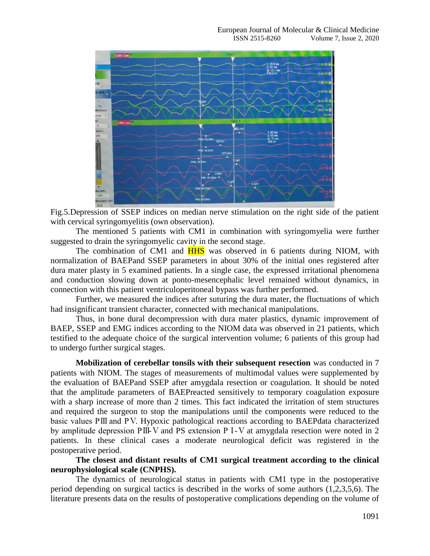

Fig.5.Depression of SSEP indices on median nerve stimulation on the right side of the patient with cervical syringomyelitis (own observation).

The mentioned 5 patients with CM1 in combination with syringomyelia were further suggested to drain the syringomyelic cavity in the second stage.

The combination of CM1 and **HHS** was observed in 6 patients during NIOM, with normalization of BAEPand SSEP parameters in about 30% of the initial ones registered after dura mater plasty in 5 examined patients. In a single case, the expressed irritational phenomena and conduction slowing down at ponto-mesencephalic level remained without dynamics, in connection with this patient ventriculoperitoneal bypass was further performed.

Further, we measured the indices after suturing the dura mater, the fluctuations of which had insignificant transient character, connected with mechanical manipulations.

Thus, in bone dural decompression with dura mater plastics, dynamic improvement of BAEP, SSEP and EMG indices according to the NIOM data was observed in 21 patients, which testified to the adequate choice of the surgical intervention volume; 6 patients of this group had to undergo further surgical stages.

**Mobilization of cerebellar tonsils with their subsequent resection** was conducted in 7 patients with NIOM. The stages of measurements of multimodal values were supplemented by the evaluation of BAEPand SSEP after amygdala resection or coagulation. It should be noted that the amplitude parameters of BAEPreacted sensitively to temporary coagulation exposure with a sharp increase of more than 2 times. This fact indicated the irritation of stem structures and required the surgeon to stop the manipulations until the components were reduced to the basic values РⅢ and РⅤ. Hypoxic pathological reactions according to BAEPdata characterized by amplitude depression РⅢ-Ⅴ and PS extension РⅠ-Ⅴ at amygdala resection were noted in 2 patients. In these clinical cases a moderate neurological deficit was registered in the postoperative period.

**The closest and distant results of CM1 surgical treatment according to the clinical neurophysiological scale (CNPHS).**

The dynamics of neurological status in patients with CM1 type in the postoperative period depending on surgical tactics is described in the works of some authors (1,2,3,5,6). The literature presents data on the results of postoperative complications depending on the volume of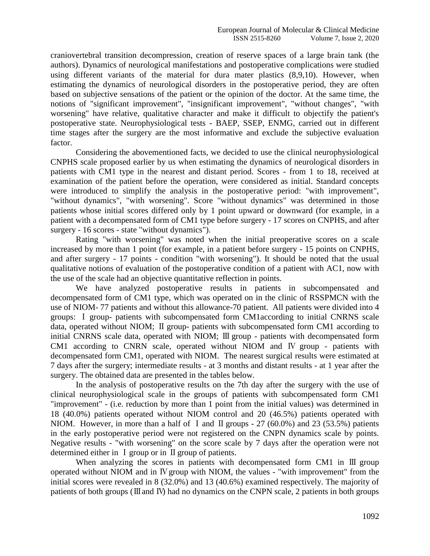craniovertebral transition decompression, creation of reserve spaces of a large brain tank (the authors). Dynamics of neurological manifestations and postoperative complications were studied using different variants of the material for dura mater plastics (8,9,10). However, when estimating the dynamics of neurological disorders in the postoperative period, they are often based on subjective sensations of the patient or the opinion of the doctor. At the same time, the notions of "significant improvement", "insignificant improvement", "without changes", "with worsening" have relative, qualitative character and make it difficult to objectify the patient's postoperative state. Neurophysiological tests - BAEP, SSEP, ENMG, carried out in different time stages after the surgery are the most informative and exclude the subjective evaluation factor.

Considering the abovementioned facts, we decided to use the clinical neurophysiological CNPHS scale proposed earlier by us when estimating the dynamics of neurological disorders in patients with CM1 type in the nearest and distant period. Scores - from 1 to 18, received at examination of the patient before the operation, were considered as initial. Standard concepts were introduced to simplify the analysis in the postoperative period: "with improvement", "without dynamics", "with worsening". Score "without dynamics" was determined in those patients whose initial scores differed only by 1 point upward or downward (for example, in a patient with a decompensated form of CM1 type before surgery - 17 scores on CNPHS, and after surgery - 16 scores - state "without dynamics").

Rating "with worsening" was noted when the initial preoperative scores on a scale increased by more than 1 point (for example, in a patient before surgery - 15 points on CNPHS, and after surgery - 17 points - condition "with worsening"). It should be noted that the usual qualitative notions of evaluation of the postoperative condition of a patient with AC1, now with the use of the scale had an objective quantitative reflection in points.

We have analyzed postoperative results in patients in subcompensated and decompensated form of CM1 type, which was operated on in the clinic of RSSPMCN with the use of NIOM- 77 patients and without this allowance-70 patient. All patients were divided into 4 groups: Ⅰ group- patients with subcompensated form CM1according to initial CNRNS scale data, operated without NIOM; Ⅱ group- patients with subcompensated form CM1 according to initial CNRNS scale data, operated with NIOM; Ⅲ group - patients with decompensated form CM1 according to CNRN scale, operated without NIOM and Ⅳ group - patients with decompensated form CM1, operated with NIOM. The nearest surgical results were estimated at 7 days after the surgery; intermediate results - at 3 months and distant results - at 1 year after the surgery. The obtained data are presented in the tables below.

In the analysis of postoperative results on the 7th day after the surgery with the use of clinical neurophysiological scale in the groups of patients with subcompensated form CM1 "improvement" - (i.e. reduction by more than 1 point from the initial values) was determined in 18 (40.0%) patients operated without NIOM control and 20 (46.5%) patients operated with NIOM. However, in more than a half of I and II groups -  $27$  (60.0%) and 23 (53.5%) patients in the early postoperative period were not registered on the CNPN dynamics scale by points. Negative results - "with worsening" on the score scale by 7 days after the operation were not determined either in Ⅰ group or in Ⅱ group of patients.

When analyzing the scores in patients with decompensated form CM1 in III group operated without NIOM and in Ⅳ group with NIOM, the values - "with improvement" from the initial scores were revealed in 8 (32.0%) and 13 (40.6%) examined respectively. The majority of patients of both groups (Ⅲ and Ⅳ) had no dynamics on the CNPN scale, 2 patients in both groups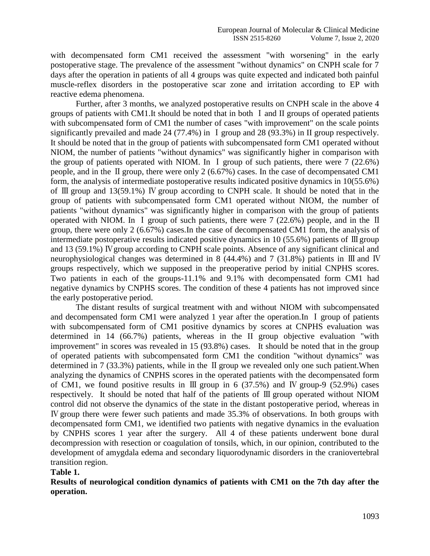with decompensated form CM1 received the assessment "with worsening" in the early postoperative stage. The prevalence of the assessment "without dynamics" on CNPH scale for 7 days after the operation in patients of all 4 groups was quite expected and indicated both painful muscle-reflex disorders in the postoperative scar zone and irritation according to EP with reactive edema phenomena.

Further, after 3 months, we analyzed postoperative results on CNPH scale in the above 4 groups of patients with CM1.It should be noted that in both Ⅰ and II groups of operated patients with subcompensated form of CM1 the number of cases "with improvement" on the scale points significantly prevailed and made 24 (77.4%) in I group and 28 (93.3%) in II group respectively. It should be noted that in the group of patients with subcompensated form CM1 operated without NIOM, the number of patients "without dynamics" was significantly higher in comparison with the group of patients operated with NIOM. In I group of such patients, there were  $7(22.6%)$ people, and in the Ⅱ group, there were only 2 (6.67%) cases. In the case of decompensated CM1 form, the analysis of intermediate postoperative results indicated positive dynamics in 10(55.6%) of Ⅲ group and 13(59.1%) Ⅳ group according to CNPH scale. It should be noted that in the group of patients with subcompensated form CM1 operated without NIOM, the number of patients "without dynamics" was significantly higher in comparison with the group of patients operated with NIOM. In Ⅰ group of such patients, there were 7 (22.6%) people, and in the Ⅱ group, there were only 2 (6.67%) cases.In the case of decompensated CM1 form, the analysis of intermediate postoperative results indicated positive dynamics in 10 (55.6%) patients of Ⅲ group and 13 (59.1%) Ⅳ group according to CNPH scale points. Absence of any significant clinical and neurophysiological changes was determined in 8 (44.4%) and 7 (31.8%) patients in Ⅲ and Ⅳ groups respectively, which we supposed in the preoperative period by initial CNPHS scores. Two patients in each of the groups-11.1% and 9.1% with decompensated form CM1 had negative dynamics by CNPHS scores. The condition of these 4 patients has not improved since the early postoperative period.

The distant results of surgical treatment with and without NIOM with subcompensated and decompensated form CM1 were analyzed 1 year after the operation.In Ⅰ group of patients with subcompensated form of CM1 positive dynamics by scores at CNPHS evaluation was determined in 14 (66.7%) patients, whereas in the II group objective evaluation "with improvement" in scores was revealed in 15 (93.8%) cases. It should be noted that in the group of operated patients with subcompensated form CM1 the condition "without dynamics" was determined in 7 (33.3%) patients, while in the Ⅱ group we revealed only one such patient.When analyzing the dynamics of CNPHS scores in the operated patients with the decompensated form of CM1, we found positive results in  $III$  group in 6 (37.5%) and IV group-9 (52.9%) cases respectively. It should be noted that half of the patients of Ⅲ group operated without NIOM control did not observe the dynamics of the state in the distant postoperative period, whereas in Ⅳ group there were fewer such patients and made 35.3% of observations. In both groups with decompensated form CM1, we identified two patients with negative dynamics in the evaluation by CNPHS scores 1 year after the surgery. All 4 of these patients underwent bone dural decompression with resection or coagulation of tonsils, which, in our opinion, contributed to the development of amygdala edema and secondary liquorodynamic disorders in the craniovertebral transition region.

#### **Table 1.**

**Results of neurological condition dynamics of patients with CM1 on the 7th day after the operation.**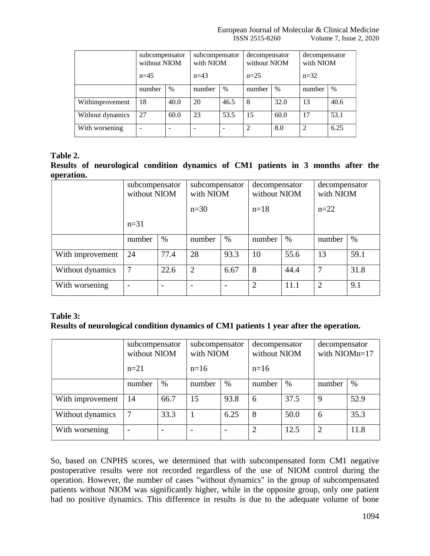|                  | subcompensator<br>without NIOM<br>$n=45$ |      | subcompensator<br>with NIOM |      | decompensator<br>without NIOM |      | decompensator<br>with NIOM |      |  |
|------------------|------------------------------------------|------|-----------------------------|------|-------------------------------|------|----------------------------|------|--|
|                  |                                          |      | $n=43$                      |      | $n=25$                        |      | $n=32$                     |      |  |
|                  | number                                   | $\%$ | number                      | $\%$ | number                        | $\%$ | number                     | $\%$ |  |
| Withimprovement  | 18                                       | 40.0 | 20                          | 46.5 | 8                             | 32.0 | 13                         | 40.6 |  |
| Without dynamics | 27                                       | 60.0 | 23                          | 53.5 | 15                            | 60.0 | 17                         | 53.1 |  |
| With worsening   |                                          |      |                             |      | $\overline{2}$                | 8.0  | 2                          | 6.25 |  |

## **Table 2.**

**Results of neurological condition dynamics of CM1 patients in 3 months after the operation.**

|                  | subcompensator<br>without NIOM |      | subcompensator<br>with NIOM |      | decompensator<br>without NIOM |      | decompensator<br>with NIOM |      |
|------------------|--------------------------------|------|-----------------------------|------|-------------------------------|------|----------------------------|------|
|                  |                                |      | $n=30$                      |      | $n=18$                        |      | $n=22$                     |      |
|                  | $n=31$                         |      |                             |      |                               |      |                            |      |
|                  | number                         | $\%$ | number                      | $\%$ | number                        | $\%$ | number                     | $\%$ |
| With improvement | 24                             | 77.4 | 28                          | 93.3 | 10                            | 55.6 | 13                         | 59.1 |
| Without dynamics | $\overline{7}$                 | 22.6 | 2                           | 6.67 | 8                             | 44.4 | $\mathcal{I}$              | 31.8 |
| With worsening   |                                |      |                             |      | $\overline{2}$                | 11.1 | $\overline{2}$             | 9.1  |

# **Table 3:**

## **Results of neurological condition dynamics of CM1 patients 1 year after the operation.**

|                  | subcompensator<br>without NIOM |      | subcompensator<br>with NIOM |      | decompensator<br>without NIOM |      | decompensator<br>with NIOMn=17 |      |
|------------------|--------------------------------|------|-----------------------------|------|-------------------------------|------|--------------------------------|------|
|                  | $n=21$                         |      | $n=16$                      |      | $n=16$                        |      |                                |      |
|                  | number                         | $\%$ | number                      | $\%$ | number                        | $\%$ | number                         | $\%$ |
| With improvement | 14                             | 66.7 | 15                          | 93.8 | 6                             | 37.5 | $\mathbf Q$                    | 52.9 |
| Without dynamics | 7                              | 33.3 |                             | 6.25 | 8                             | 50.0 | 6                              | 35.3 |
| With worsening   |                                |      |                             |      | 2                             | 12.5 | $\overline{2}$                 | 11.8 |

So, based on CNPHS scores, we determined that with subcompensated form CM1 negative postoperative results were not recorded regardless of the use of NIOM control during the operation. However, the number of cases "without dynamics" in the group of subcompensated patients without NIOM was significantly higher, while in the opposite group, only one patient had no positive dynamics. This difference in results is due to the adequate volume of bone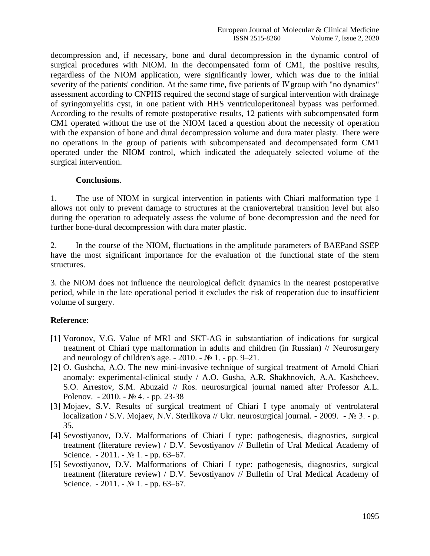decompression and, if necessary, bone and dural decompression in the dynamic control of surgical procedures with NIOM. In the decompensated form of CM1, the positive results, regardless of the NIOM application, were significantly lower, which was due to the initial severity of the patients' condition. At the same time, five patients of Ⅳ group with "no dynamics" assessment according to CNPHS required the second stage of surgical intervention with drainage of syringomyelitis cyst, in one patient with HHS ventriculoperitoneal bypass was performed. According to the results of remote postoperative results, 12 patients with subcompensated form CM1 operated without the use of the NIOM faced a question about the necessity of operation with the expansion of bone and dural decompression volume and dura mater plasty. There were no operations in the group of patients with subcompensated and decompensated form CM1 operated under the NIOM control, which indicated the adequately selected volume of the surgical intervention.

## **Conclusions**.

1. The use of NIOM in surgical intervention in patients with Chiari malformation type 1 allows not only to prevent damage to structures at the craniovertebral transition level but also during the operation to adequately assess the volume of bone decompression and the need for further bone-dural decompression with dura mater plastic.

2. In the course of the NIOM, fluctuations in the amplitude parameters of BAEPand SSEP have the most significant importance for the evaluation of the functional state of the stem structures.

3. the NIOM does not influence the neurological deficit dynamics in the nearest postoperative period, while in the late operational period it excludes the risk of reoperation due to insufficient volume of surgery.

# **Reference**:

- [1] Voronov, V.G. Value of MRI and SKT-AG in substantiation of indications for surgical treatment of Chiari type malformation in adults and children (in Russian) // Neurosurgery and neurology of children's age.  $-2010$ .  $-\mathcal{N} \circ 1$ .  $-\text{pp} \cdot 9-21$ .
- [2] O. Gushcha, A.O. The new mini-invasive technique of surgical treatment of Arnold Chiari anomaly: experimental-clinical study / A.O. Gusha, A.R. Shakhnovich, A.A. Kashcheev, S.O. Arrestov, S.M. Abuzaid // Ros. neurosurgical journal named after Professor A.L. Polenov. - 2010. - № 4. - pp. 23-38
- [3] Mojaev, S.V. Results of surgical treatment of Chiari I type anomaly of ventrolateral localization / S.V. Mojaev, N.V. Sterlikova // Ukr. neurosurgical journal. - 2009. - № 3. - p. 35.
- [4] Sevostiyanov, D.V. Malformations of Chiari I type: pathogenesis, diagnostics, surgical treatment (literature review) / D.V. Sevostiyanov // Bulletin of Ural Medical Academy of Science.  $-2011. - N_2 1. - pp. 63-67.$
- [5] Sevostiyanov, D.V. Malformations of Chiari I type: pathogenesis, diagnostics, surgical treatment (literature review) / D.V. Sevostiyanov // Bulletin of Ural Medical Academy of Science.  $-2011. - N_2 1. - pp. 63-67.$